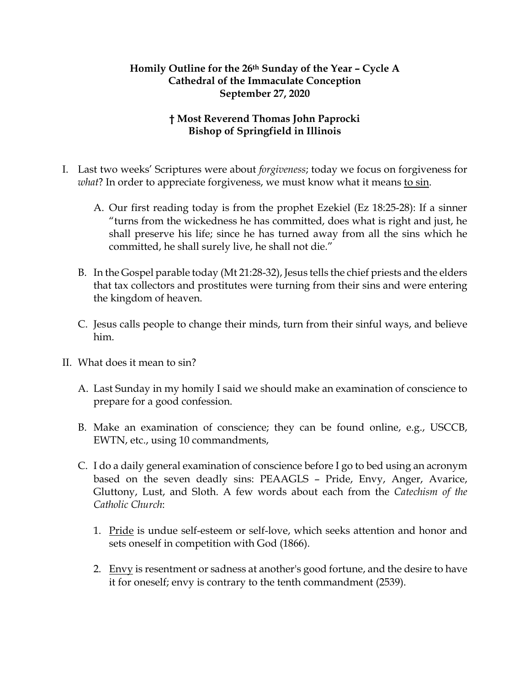## **Homily Outline for the 26th Sunday of the Year – Cycle A Cathedral of the Immaculate Conception September 27, 2020**

## **† Most Reverend Thomas John Paprocki Bishop of Springfield in Illinois**

- I. Last two weeks' Scriptures were about *forgiveness*; today we focus on forgiveness for *what*? In order to appreciate forgiveness, we must know what it means to sin.
	- A. Our first reading today is from the prophet Ezekiel (Ez 18:25-28): If a sinner "turns from the wickedness he has committed, does what is right and just, he shall preserve his life; since he has turned away from all the sins which he committed, he shall surely live, he shall not die."
	- B. In the Gospel parable today (Mt 21:28-32), Jesus tells the chief priests and the elders that tax collectors and prostitutes were turning from their sins and were entering the kingdom of heaven.
	- C. Jesus calls people to change their minds, turn from their sinful ways, and believe him.
- II. What does it mean to sin?
	- A. Last Sunday in my homily I said we should make an examination of conscience to prepare for a good confession.
	- B. Make an examination of conscience; they can be found online, e.g., USCCB, EWTN, etc., using 10 commandments,
	- C. I do a daily general examination of conscience before I go to bed using an acronym based on the seven deadly sins: PEAAGLS – Pride, Envy, Anger, Avarice, Gluttony, Lust, and Sloth. A few words about each from the *Catechism of the Catholic Church*:
		- 1. Pride is undue self-esteem or self-love, which seeks attention and honor and sets oneself in competition with God (1866).
		- 2. Envy is resentment or sadness at another's good fortune, and the desire to have it for oneself; envy is contrary to the tenth commandment (2539).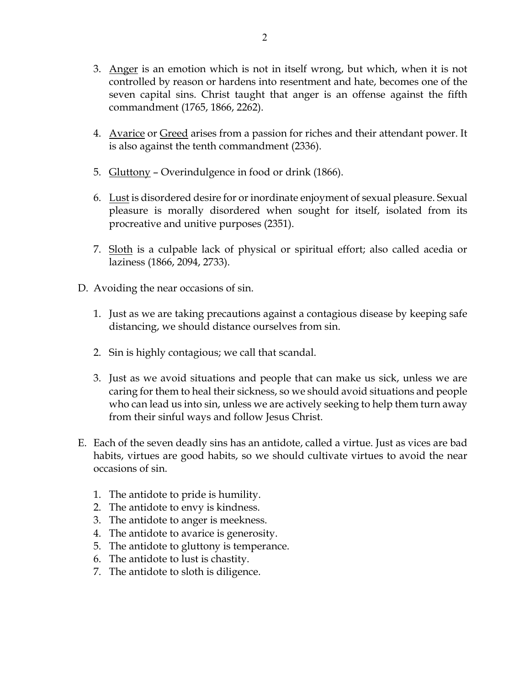- 3. Anger is an emotion which is not in itself wrong, but which, when it is not controlled by reason or hardens into resentment and hate, becomes one of the seven capital sins. Christ taught that anger is an offense against the fifth commandment (1765, 1866, 2262).
- 4. Avarice or Greed arises from a passion for riches and their attendant power. It is also against the tenth commandment (2336).
- 5. Gluttony Overindulgence in food or drink (1866).
- 6. Lust is disordered desire for or inordinate enjoyment of sexual pleasure. Sexual pleasure is morally disordered when sought for itself, isolated from its procreative and unitive purposes (2351).
- 7. Sloth is a culpable lack of physical or spiritual effort; also called acedia or laziness (1866, 2094, 2733).
- D. Avoiding the near occasions of sin.
	- 1. Just as we are taking precautions against a contagious disease by keeping safe distancing, we should distance ourselves from sin.
	- 2. Sin is highly contagious; we call that scandal.
	- 3. Just as we avoid situations and people that can make us sick, unless we are caring for them to heal their sickness, so we should avoid situations and people who can lead us into sin, unless we are actively seeking to help them turn away from their sinful ways and follow Jesus Christ.
- E. Each of the seven deadly sins has an antidote, called a virtue. Just as vices are bad habits, virtues are good habits, so we should cultivate virtues to avoid the near occasions of sin.
	- 1. The antidote to pride is humility.
	- 2. The antidote to envy is kindness.
	- 3. The antidote to anger is meekness.
	- 4. The antidote to avarice is generosity.
	- 5. The antidote to gluttony is temperance.
	- 6. The antidote to lust is chastity.
	- 7. The antidote to sloth is diligence.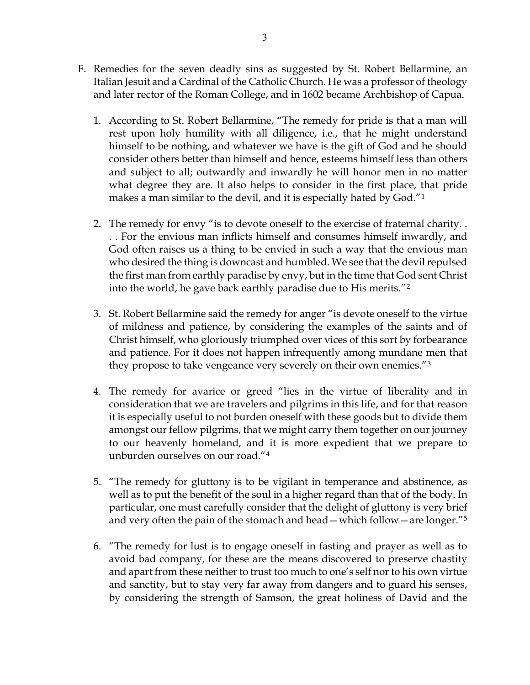- F. Remedies for the seven deadly sins as suggested by St. Robert Bellarmine, an Italian Jesuit and a Cardinal of the Catholic Church. He was a professor of theology and later rector of the Roman College, and in 1602 became Archbishop of Capua.
	- 1. According to St. Robert Bellarmine, "The remedy for pride is that a man will rest upon holy humility with all diligence, i.e., that he might understand himself to be nothing, and whatever we have is the gift of God and he should consider others better than himself and hence, esteems himself less than others and subject to all; outwardly and inwardly he will honor men in no matter what degree they are. It also helps to consider in the first place, that pride makes a man similar to the devil, and it is especially hated by God."[1](#page-3-0)
	- 2. The remedy for envy "is to devote oneself to the exercise of fraternal charity. . . . For the envious man inflicts himself and consumes himself inwardly, and God often raises us a thing to be envied in such a way that the envious man who desired the thing is downcast and humbled. We see that the devil repulsed the first man from earthly paradise by envy, but in the time that God sent Christ into the world, he gave back earthly paradise due to His merits."[2](#page-3-1)
	- 3. St. Robert Bellarmine said the remedy for anger "is devote oneself to the virtue of mildness and patience, by considering the examples of the saints and of Christ himself, who gloriously triumphed over vices of this sort by forbearance and patience. For it does not happen infrequently among mundane men that they propose to take vengeance very severely on their own enemies."[3](#page-3-2)
	- 4. The remedy for avarice or greed "lies in the virtue of liberality and in consideration that we are travelers and pilgrims in this life, and for that reason it is especially useful to not burden oneself with these goods but to divide them amongst our fellow pilgrims, that we might carry them together on our journey to our heavenly homeland, and it is more expedient that we prepare to unburden ourselves on our road."[4](#page-3-3)
	- 5. "The remedy for gluttony is to be vigilant in temperance and abstinence, as well as to put the benefit of the soul in a higher regard than that of the body. In particular, one must carefully consider that the delight of gluttony is very brief and very often the pain of the stomach and head—which follow—are longer."[5](#page-3-4)
	- 6. "The remedy for lust is to engage oneself in fasting and prayer as well as to avoid bad company, for these are the means discovered to preserve chastity and apart from these neither to trust too much to one's self nor to his own virtue and sanctity, but to stay very far away from dangers and to guard his senses, by considering the strength of Samson, the great holiness of David and the